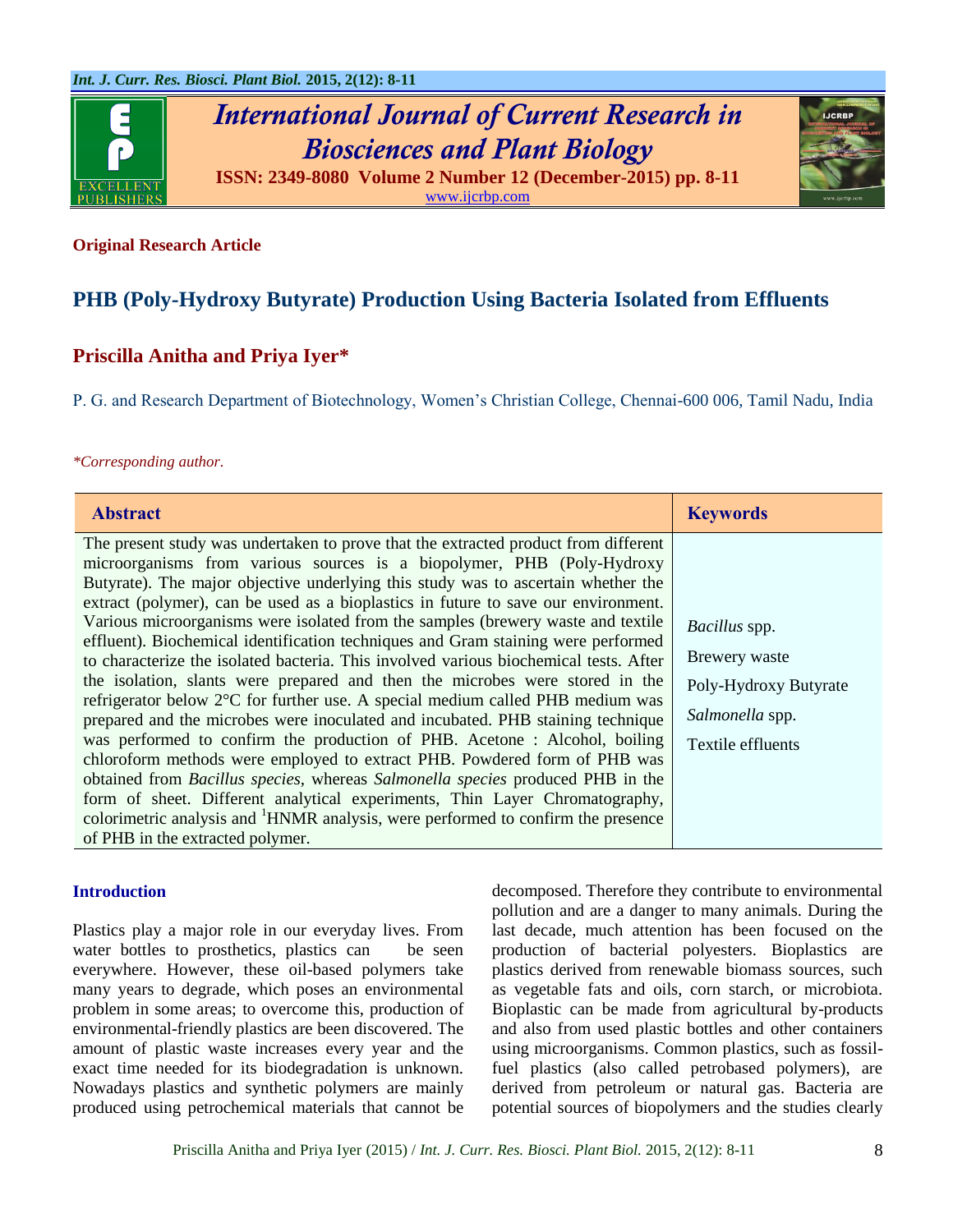

# *International Journal of Current Research in Biosciences and Plant Biology* **ISSN: 2349-8080 Volume 2 Number 12 (December-2015) pp. 8-11**



[www.ijcrbp.com](http://www.ijcrbp.com/)

#### **Original Research Article**

## **PHB (Poly-Hydroxy Butyrate) Production Using Bacteria Isolated from Effluents**

### **Priscilla Anitha and Priya Iyer\***

P. G. and Research Department of Biotechnology, Women's Christian College, Chennai-600 006, Tamil Nadu, India

#### *\*Corresponding author.*

| <b>Abstract</b>                                                                                                                                                                                                                                                                                                                                                                                                                                                                                                                                                                                                                                                                                                                                                                                                                                                                                                                                                                                                                                                                                                                                                                                                                                                                                                                                           | <b>Keywords</b>                                                                                 |
|-----------------------------------------------------------------------------------------------------------------------------------------------------------------------------------------------------------------------------------------------------------------------------------------------------------------------------------------------------------------------------------------------------------------------------------------------------------------------------------------------------------------------------------------------------------------------------------------------------------------------------------------------------------------------------------------------------------------------------------------------------------------------------------------------------------------------------------------------------------------------------------------------------------------------------------------------------------------------------------------------------------------------------------------------------------------------------------------------------------------------------------------------------------------------------------------------------------------------------------------------------------------------------------------------------------------------------------------------------------|-------------------------------------------------------------------------------------------------|
| The present study was undertaken to prove that the extracted product from different<br>microorganisms from various sources is a biopolymer, PHB (Poly-Hydroxy)<br>Butyrate). The major objective underlying this study was to ascertain whether the<br>extract (polymer), can be used as a bioplastics in future to save our environment.<br>Various microorganisms were isolated from the samples (brewery waste and textile<br>effluent). Biochemical identification techniques and Gram staining were performed<br>to characterize the isolated bacteria. This involved various biochemical tests. After<br>the isolation, slants were prepared and then the microbes were stored in the<br>refrigerator below $2^{\circ}$ C for further use. A special medium called PHB medium was<br>prepared and the microbes were inoculated and incubated. PHB staining technique<br>was performed to confirm the production of PHB. Acetone : Alcohol, boiling<br>chloroform methods were employed to extract PHB. Powdered form of PHB was<br>obtained from <i>Bacillus species</i> , whereas <i>Salmonella species</i> produced PHB in the<br>form of sheet. Different analytical experiments, Thin Layer Chromatography,<br>colorimetric analysis and <sup>1</sup> HNMR analysis, were performed to confirm the presence<br>of PHB in the extracted polymer. | Bacillus spp.<br>Brewery waste<br>Poly-Hydroxy Butyrate<br>Salmonella spp.<br>Textile effluents |

#### **Introduction**

Plastics play a major role in our everyday lives. From water bottles to prosthetics, plastics can be seen everywhere. However, these oil-based polymers take many years to degrade, which poses an environmental problem in some areas; to overcome this, production of environmental-friendly plastics are been discovered. The amount of plastic waste increases every year and the exact time needed for its biodegradation is unknown. Nowadays plastics and synthetic polymers are mainly produced using petrochemical materials that cannot be

decomposed. Therefore they contribute to environmental pollution and are a danger to many animals. During the last decade, much attention has been focused on the production of bacterial polyesters. Bioplastics are plastics derived from renewable biomass sources, such as vegetable fats and oils, corn starch, or microbiota. Bioplastic can be made from agricultural by-products and also from used plastic bottles and other containers using microorganisms. Common plastics, such as fossilfuel plastics (also called petrobased polymers), are derived from petroleum or natural gas. Bacteria are potential sources of biopolymers and the studies clearly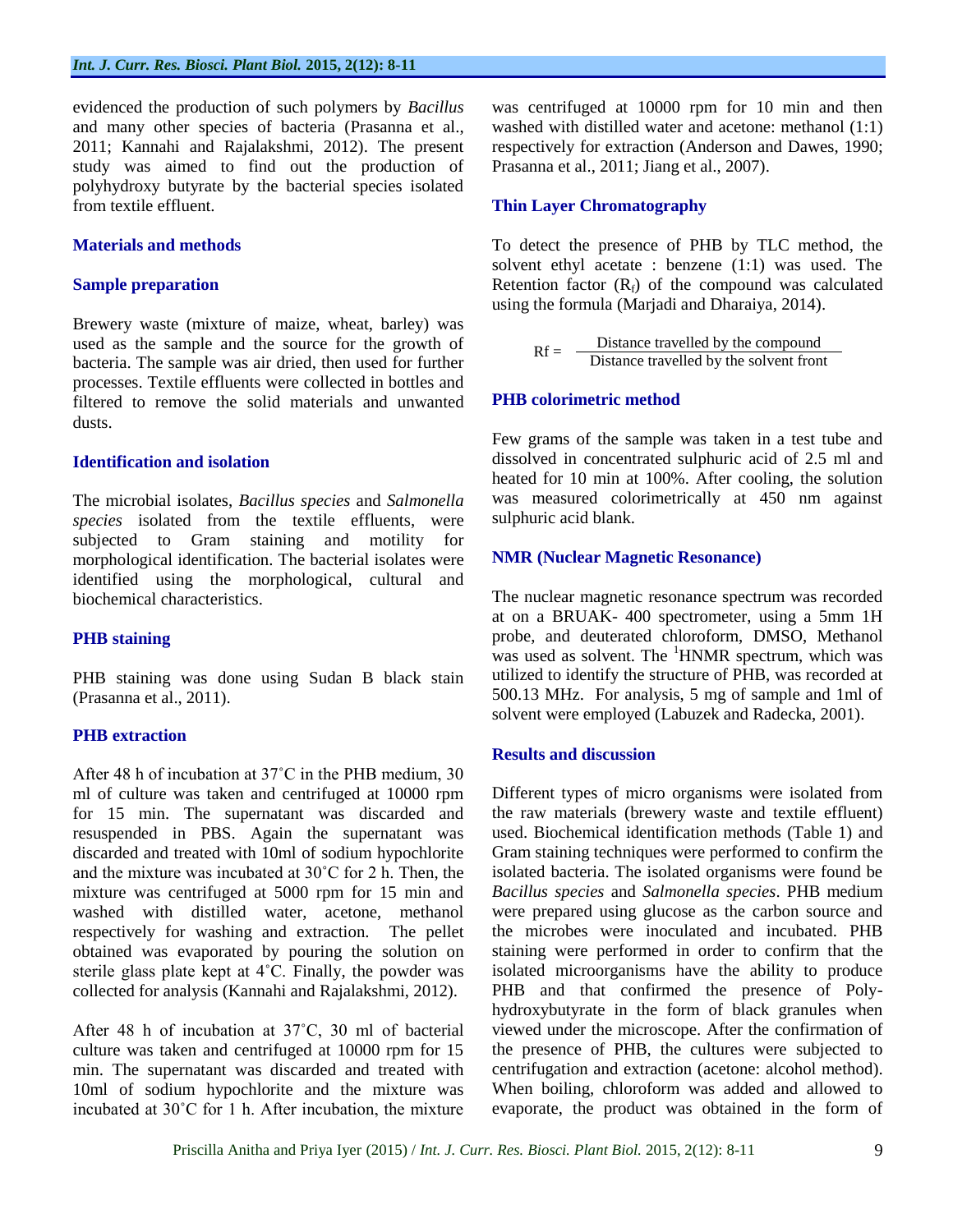evidenced the production of such polymers by *Bacillus* and many other species of bacteria (Prasanna et al., 2011; Kannahi and Rajalakshmi, 2012). The present study was aimed to find out the production of polyhydroxy butyrate by the bacterial species isolated from textile effluent.

#### **Materials and methods**

#### **Sample preparation**

Brewery waste (mixture of maize, wheat, barley) was used as the sample and the source for the growth of bacteria. The sample was air dried, then used for further processes. Textile effluents were collected in bottles and filtered to remove the solid materials and unwanted dusts.

#### **Identification and isolation**

The microbial isolates, *Bacillus species* and *Salmonella species* isolated from the textile effluents, were subjected to Gram staining and motility for morphological identification. The bacterial isolates were identified using the morphological, cultural and biochemical characteristics.

#### **PHB staining**

PHB staining was done using Sudan B black stain (Prasanna et al., 2011).

#### **PHB extraction**

After 48 h of incubation at 37˚C in the PHB medium, 30 ml of culture was taken and centrifuged at 10000 rpm for 15 min. The supernatant was discarded and resuspended in PBS. Again the supernatant was discarded and treated with 10ml of sodium hypochlorite and the mixture was incubated at 30˚C for 2 h. Then, the mixture was centrifuged at 5000 rpm for 15 min and washed with distilled water, acetone, methanol respectively for washing and extraction. The pellet obtained was evaporated by pouring the solution on sterile glass plate kept at 4˚C. Finally, the powder was collected for analysis (Kannahi and Rajalakshmi, 2012).

After 48 h of incubation at 37˚C, 30 ml of bacterial culture was taken and centrifuged at 10000 rpm for 15 min. The supernatant was discarded and treated with 10ml of sodium hypochlorite and the mixture was incubated at 30˚C for 1 h. After incubation, the mixture

was centrifuged at 10000 rpm for 10 min and then washed with distilled water and acetone: methanol (1:1) respectively for extraction (Anderson and Dawes, 1990; Prasanna et al., 2011; Jiang et al., 2007).

#### **Thin Layer Chromatography**

To detect the presence of PHB by TLC method, the solvent ethyl acetate : benzene (1:1) was used. The Retention factor  $(R_f)$  of the compound was calculated using the formula (Marjadi and Dharaiya, 2014).

$$
Rf = \frac{Distance\ travelled\ by\ the\ compound}{Distance\ travelled\ by\ the\ solvent\ front}
$$

#### **PHB colorimetric method**

Few grams of the sample was taken in a test tube and dissolved in concentrated sulphuric acid of 2.5 ml and heated for 10 min at 100%. After cooling, the solution was measured colorimetrically at 450 nm against sulphuric acid blank.

#### **NMR (Nuclear Magnetic Resonance)**

The nuclear magnetic resonance spectrum was recorded at on a BRUAK- 400 spectrometer, using a 5mm 1H probe, and deuterated chloroform, DMSO, Methanol was used as solvent. The <sup>1</sup>HNMR spectrum, which was utilized to identify the structure of PHB, was recorded at 500.13 MHz. For analysis, 5 mg of sample and 1ml of solvent were employed (Labuzek and Radecka, 2001).

#### **Results and discussion**

Different types of micro organisms were isolated from the raw materials (brewery waste and textile effluent) used. Biochemical identification methods (Table 1) and Gram staining techniques were performed to confirm the isolated bacteria. The isolated organisms were found be *Bacillus species* and *Salmonella species*. PHB medium were prepared using glucose as the carbon source and the microbes were inoculated and incubated. PHB staining were performed in order to confirm that the isolated microorganisms have the ability to produce PHB and that confirmed the presence of Polyhydroxybutyrate in the form of black granules when viewed under the microscope. After the confirmation of the presence of PHB, the cultures were subjected to centrifugation and extraction (acetone: alcohol method). When boiling, chloroform was added and allowed to evaporate, the product was obtained in the form of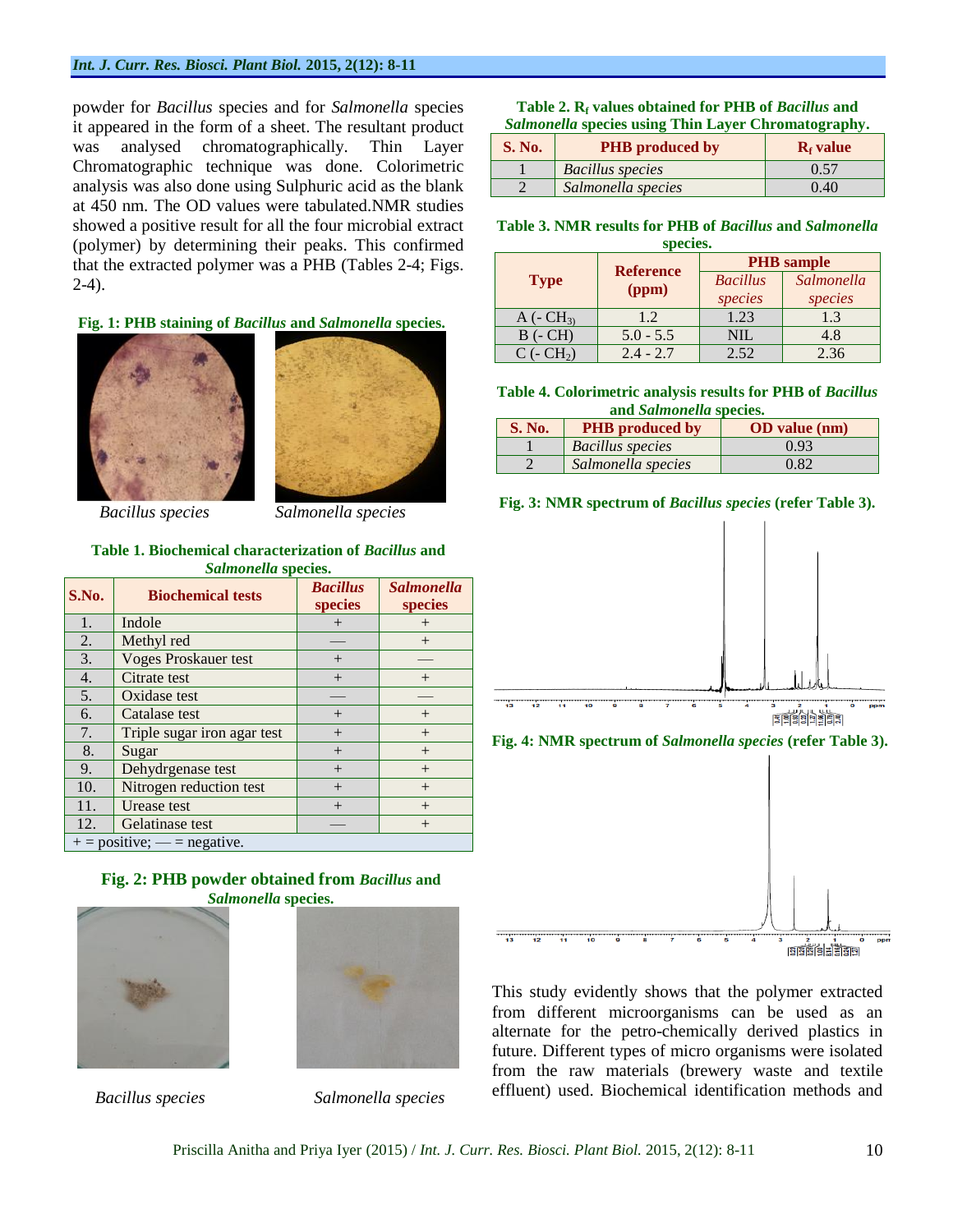#### *Int. J. Curr. Res. Biosci. Plant Biol.* **2015, 2(12): 8-11**

powder for *Bacillus* species and for *Salmonella* species it appeared in the form of a sheet. The resultant product was analysed chromatographically. Thin Layer Chromatographic technique was done. Colorimetric analysis was also done using Sulphuric acid as the blank at 450 nm. The OD values were tabulated.NMR studies showed a positive result for all the four microbial extract (polymer) by determining their peaks. This confirmed that the extracted polymer was a PHB (Tables 2-4; Figs. 2-4).

#### **Fig. 1: PHB staining of** *Bacillus* **and** *Salmonella* **species.**



 *Bacillus species Salmonella species*

#### **Table 1. Biochemical characterization of** *Bacillus* **and**  *Salmonella* **species.**

| S.No.                         | <b>Biochemical tests</b>    | <b>Bacillus</b><br>species | <b>Salmonella</b><br>species |
|-------------------------------|-----------------------------|----------------------------|------------------------------|
| 1.                            | Indole                      | $^{+}$                     | $^{+}$                       |
| 2.                            | Methyl red                  |                            | $^{+}$                       |
| 3.                            | <b>Voges Proskauer test</b> | $^{+}$                     |                              |
| 4.                            | Citrate test                | $^{+}$                     | $+$                          |
| 5.                            | Oxidase test                |                            |                              |
| 6.                            | Catalase test               | $^{+}$                     | $^{+}$                       |
| 7.                            | Triple sugar iron agar test | $^{+}$                     | $^{+}$                       |
| 8.                            | Sugar                       | $+$                        | $^{+}$                       |
| 9.                            | Dehydrgenase test           | $+$                        | $+$                          |
| 10.                           | Nitrogen reduction test     | $^{+}$                     | $^{+}$                       |
| 11.                           | Urease test                 | $^{+}$                     | $+$                          |
| 12.                           | Gelatinase test             |                            | $^{+}$                       |
| $+$ = positive; — = negative. |                             |                            |                              |

#### **Fig. 2: PHB powder obtained from** *Bacillus* **and**  *Salmonella* **species.**





 *Bacillus species Salmonella species*

| Table 2. $R_f$ values obtained for PHB of <i>Bacillus</i> and |  |
|---------------------------------------------------------------|--|
| Salmonella species using Thin Layer Chromatography.           |  |

| <b>S. No.</b> | <b>PHB</b> produced by  | $Rf$ value |
|---------------|-------------------------|------------|
|               | <b>Bacillus</b> species | 0.57       |
|               | Salmonella species      | 0.40       |

**Table 3. NMR results for PHB of** *Bacillus* **and** *Salmonella* 

| species.        |                  |                   |            |
|-----------------|------------------|-------------------|------------|
|                 | <b>Reference</b> | <b>PHB</b> sample |            |
| <b>Type</b>     | (ppm)            | <b>Bacillus</b>   | Salmonella |
|                 |                  | species           | species    |
| A ( $-CH_{3}$ ) | 1.2.             | 1.23              | 1.3        |
| $B(-CH)$        | $5.0 - 5.5$      | <b>NIL</b>        | 4.8        |
| $C$ (- $CH2$ )  | $2.4 - 2.7$      | 2.52              | 2.36       |

**Table 4. Colorimetric analysis results for PHB of** *Bacillus*  **and** *Salmonella* **species.**

| <b>S. No.</b> | <b>PHB</b> produced by  | <b>OD</b> value (nm) |
|---------------|-------------------------|----------------------|
|               | <b>Bacillus</b> species | 0.93                 |
|               | Salmonella species      | 0.82                 |









This study evidently shows that the polymer extracted from different microorganisms can be used as an alternate for the petro-chemically derived plastics in future. Different types of micro organisms were isolated from the raw materials (brewery waste and textile effluent) used. Biochemical identification methods and